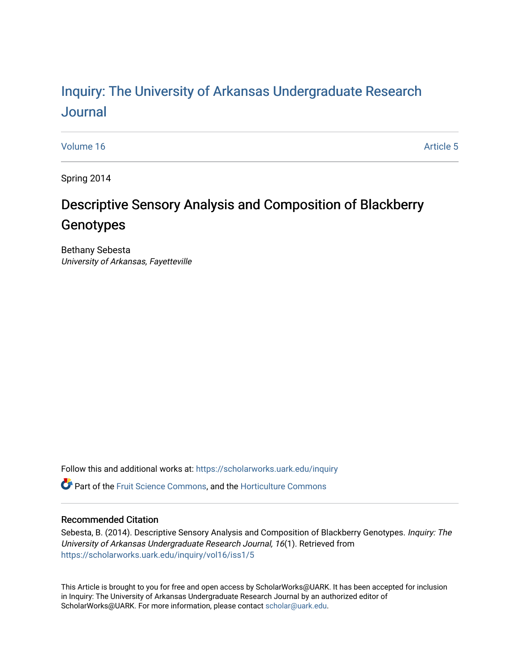# Inquiry: The Univ[ersity of Arkansas Undergraduate Resear](https://scholarworks.uark.edu/inquiry)ch [Journal](https://scholarworks.uark.edu/inquiry)

[Volume 16](https://scholarworks.uark.edu/inquiry/vol16) Article 5

Spring 2014

# Descriptive Sensory Analysis and Composition of Blackberry Genotypes

Bethany Sebesta University of Arkansas, Fayetteville

Follow this and additional works at: [https://scholarworks.uark.edu/inquiry](https://scholarworks.uark.edu/inquiry?utm_source=scholarworks.uark.edu%2Finquiry%2Fvol16%2Fiss1%2F5&utm_medium=PDF&utm_campaign=PDFCoverPages)

**P** Part of the [Fruit Science Commons](http://network.bepress.com/hgg/discipline/1064?utm_source=scholarworks.uark.edu%2Finquiry%2Fvol16%2Fiss1%2F5&utm_medium=PDF&utm_campaign=PDFCoverPages), and the Horticulture Commons

# Recommended Citation

Sebesta, B. (2014). Descriptive Sensory Analysis and Composition of Blackberry Genotypes. Inquiry: The University of Arkansas Undergraduate Research Journal, 16(1). Retrieved from [https://scholarworks.uark.edu/inquiry/vol16/iss1/5](https://scholarworks.uark.edu/inquiry/vol16/iss1/5?utm_source=scholarworks.uark.edu%2Finquiry%2Fvol16%2Fiss1%2F5&utm_medium=PDF&utm_campaign=PDFCoverPages) 

This Article is brought to you for free and open access by ScholarWorks@UARK. It has been accepted for inclusion in Inquiry: The University of Arkansas Undergraduate Research Journal by an authorized editor of ScholarWorks@UARK. For more information, please contact [scholar@uark.edu](mailto:scholar@uark.edu).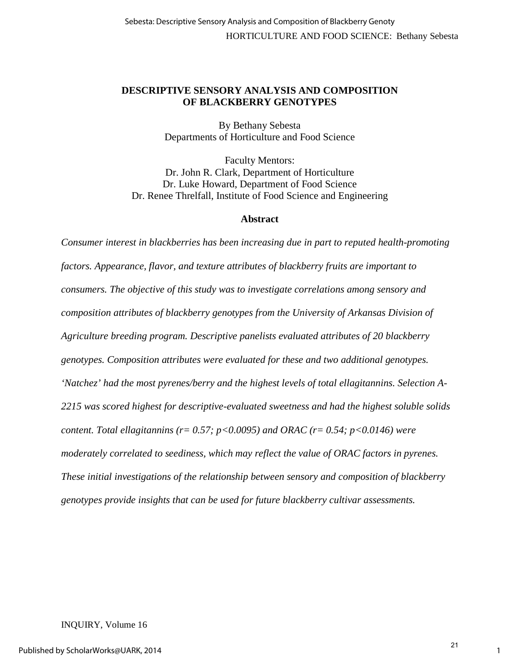# **DESCRIPTIVE SENSORY ANALYSIS AND COMPOSITION OF BLACKBERRY GENOTYPES**

By Bethany Sebesta Departments of Horticulture and Food Science

Faculty Mentors: Dr. John R. Clark, Department of Horticulture Dr. Luke Howard, Department of Food Science Dr. Renee Threlfall, Institute of Food Science and Engineering

## **Abstract**

*Consumer interest in blackberries has been increasing due in part to reputed health-promoting factors. Appearance, flavor, and texture attributes of blackberry fruits are important to consumers. The objective of this study was to investigate correlations among sensory and composition attributes of blackberry genotypes from the University of Arkansas Division of Agriculture breeding program. Descriptive panelists evaluated attributes of 20 blackberry genotypes. Composition attributes were evaluated for these and two additional genotypes. 'Natchez' had the most pyrenes/berry and the highest levels of total ellagitannins. Selection A-2215 was scored highest for descriptive-evaluated sweetness and had the highest soluble solids content. Total ellagitannins (r= 0.57; p<0.0095) and ORAC (r= 0.54; p<0.0146) were moderately correlated to seediness, which may reflect the value of ORAC factors in pyrenes. These initial investigations of the relationship between sensory and composition of blackberry genotypes provide insights that can be used for future blackberry cultivar assessments.* 

## INQUIRY, Volume 16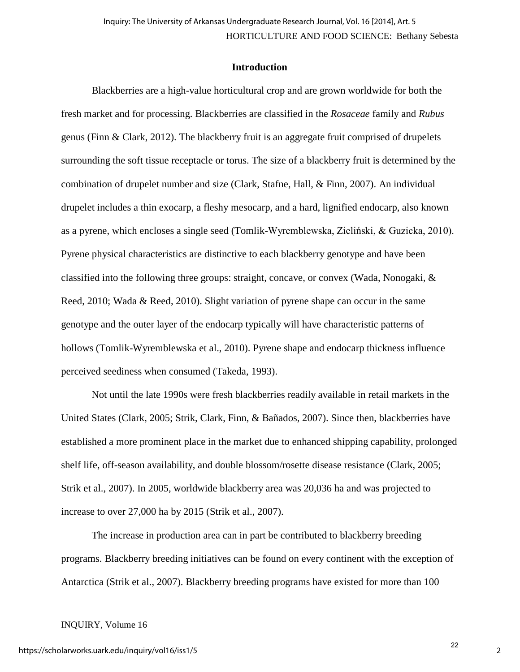## **Introduction**

Blackberries are a high-value horticultural crop and are grown worldwide for both the fresh market and for processing. Blackberries are classified in the *Rosaceae* family and *Rubus*  genus (Finn & Clark, 2012). The blackberry fruit is an aggregate fruit comprised of drupelets surrounding the soft tissue receptacle or torus. The size of a blackberry fruit is determined by the combination of drupelet number and size (Clark, Stafne, Hall, & Finn, 2007). An individual drupelet includes a thin exocarp, a fleshy mesocarp, and a hard, lignified endocarp, also known as a pyrene, which encloses a single seed (Tomlik-Wyremblewska, Zieliński, & Guzicka, 2010). Pyrene physical characteristics are distinctive to each blackberry genotype and have been classified into the following three groups: straight, concave, or convex (Wada, Nonogaki, & Reed, 2010; Wada & Reed, 2010). Slight variation of pyrene shape can occur in the same genotype and the outer layer of the endocarp typically will have characteristic patterns of hollows (Tomlik-Wyremblewska et al., 2010). Pyrene shape and endocarp thickness influence perceived seediness when consumed (Takeda, 1993).

Not until the late 1990s were fresh blackberries readily available in retail markets in the United States (Clark, 2005; Strik, Clark, Finn, & Bañados, 2007). Since then, blackberries have established a more prominent place in the market due to enhanced shipping capability, prolonged shelf life, off-season availability, and double blossom/rosette disease resistance (Clark, 2005; Strik et al., 2007). In 2005, worldwide blackberry area was 20,036 ha and was projected to increase to over 27,000 ha by 2015 (Strik et al., 2007).

The increase in production area can in part be contributed to blackberry breeding programs. Blackberry breeding initiatives can be found on every continent with the exception of Antarctica (Strik et al., 2007). Blackberry breeding programs have existed for more than 100

## INQUIRY, Volume 16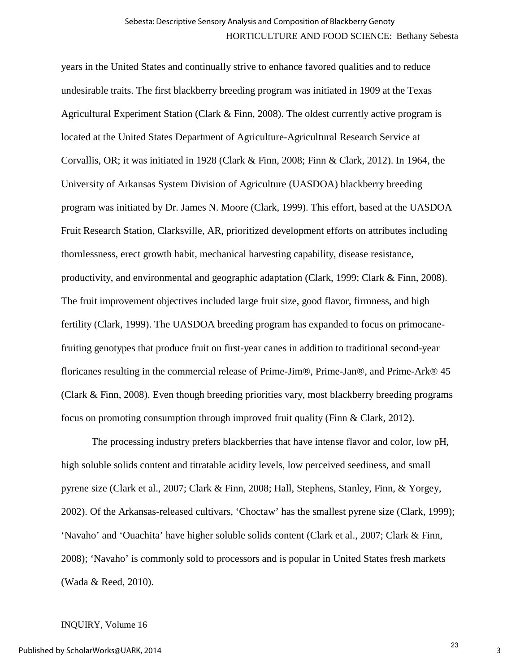years in the United States and continually strive to enhance favored qualities and to reduce undesirable traits. The first blackberry breeding program was initiated in 1909 at the Texas Agricultural Experiment Station (Clark & Finn, 2008). The oldest currently active program is located at the United States Department of Agriculture-Agricultural Research Service at Corvallis, OR; it was initiated in 1928 (Clark & Finn, 2008; Finn & Clark, 2012). In 1964, the University of Arkansas System Division of Agriculture (UASDOA) blackberry breeding program was initiated by Dr. James N. Moore (Clark, 1999). This effort, based at the UASDOA Fruit Research Station, Clarksville, AR, prioritized development efforts on attributes including thornlessness, erect growth habit, mechanical harvesting capability, disease resistance, productivity, and environmental and geographic adaptation (Clark, 1999; Clark & Finn, 2008). The fruit improvement objectives included large fruit size, good flavor, firmness, and high fertility (Clark, 1999). The UASDOA breeding program has expanded to focus on primocanefruiting genotypes that produce fruit on first-year canes in addition to traditional second-year floricanes resulting in the commercial release of Prime-Jim®, Prime-Jan®, and Prime-Ark® 45 (Clark & Finn, 2008). Even though breeding priorities vary, most blackberry breeding programs focus on promoting consumption through improved fruit quality (Finn & Clark, 2012).

The processing industry prefers blackberries that have intense flavor and color, low pH, high soluble solids content and titratable acidity levels, low perceived seediness, and small pyrene size (Clark et al., 2007; Clark & Finn, 2008; Hall, Stephens, Stanley, Finn, & Yorgey, 2002). Of the Arkansas-released cultivars, 'Choctaw' has the smallest pyrene size (Clark, 1999); 'Navaho' and 'Ouachita' have higher soluble solids content (Clark et al., 2007; Clark & Finn, 2008); 'Navaho' is commonly sold to processors and is popular in United States fresh markets (Wada & Reed, 2010).

#### INQUIRY, Volume 16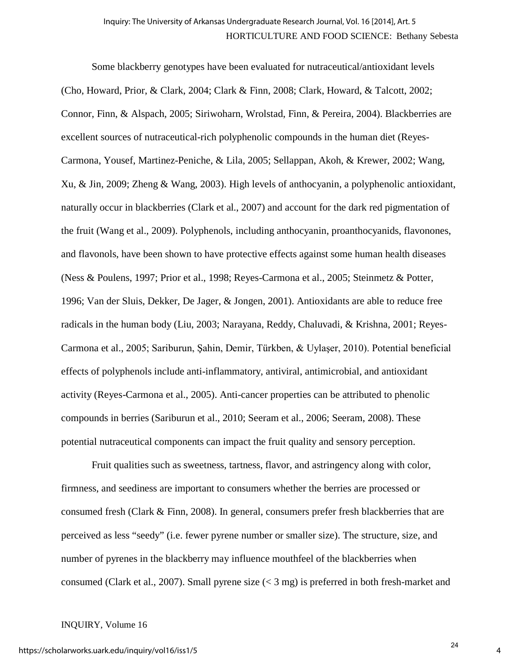Some blackberry genotypes have been evaluated for nutraceutical/antioxidant levels (Cho, Howard, Prior, & Clark, 2004; Clark & Finn, 2008; Clark, Howard, & Talcott, 2002; Connor, Finn, & Alspach, 2005; Siriwoharn, Wrolstad, Finn, & Pereira, 2004). Blackberries are excellent sources of nutraceutical-rich polyphenolic compounds in the human diet (Reyes-Carmona, Yousef, Martinez-Peniche, & Lila, 2005; Sellappan, Akoh, & Krewer, 2002; Wang, Xu, & Jin, 2009; Zheng & Wang, 2003). High levels of anthocyanin, a polyphenolic antioxidant, naturally occur in blackberries (Clark et al., 2007) and account for the dark red pigmentation of the fruit (Wang et al., 2009). Polyphenols, including anthocyanin, proanthocyanids, flavonones, and flavonols, have been shown to have protective effects against some human health diseases (Ness & Poulens, 1997; Prior et al., 1998; Reyes-Carmona et al., 2005; Steinmetz & Potter, 1996; Van der Sluis, Dekker, De Jager, & Jongen, 2001). Antioxidants are able to reduce free radicals in the human body (Liu, 2003; Narayana, Reddy, Chaluvadi, & Krishna, 2001; Reyes-Carmona et al., 2005; Sariburun, Şahin, Demir, Türkben, & Uylaşer, 2010). Potential beneficial effects of polyphenols include anti-inflammatory, antiviral, antimicrobial, and antioxidant activity (Reyes-Carmona et al., 2005). Anti-cancer properties can be attributed to phenolic compounds in berries (Sariburun et al., 2010; Seeram et al., 2006; Seeram, 2008). These potential nutraceutical components can impact the fruit quality and sensory perception.

Fruit qualities such as sweetness, tartness, flavor, and astringency along with color, firmness, and seediness are important to consumers whether the berries are processed or consumed fresh (Clark & Finn, 2008). In general, consumers prefer fresh blackberries that are perceived as less "seedy" (i.e. fewer pyrene number or smaller size). The structure, size, and number of pyrenes in the blackberry may influence mouthfeel of the blackberries when consumed (Clark et al., 2007). Small pyrene size (< 3 mg) is preferred in both fresh-market and

## INQUIRY, Volume 16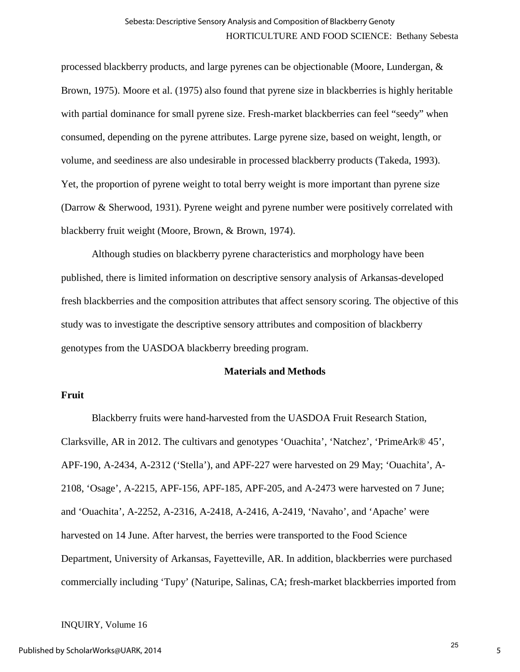processed blackberry products, and large pyrenes can be objectionable (Moore, Lundergan, & Brown, 1975). Moore et al. (1975) also found that pyrene size in blackberries is highly heritable with partial dominance for small pyrene size. Fresh-market blackberries can feel "seedy" when consumed, depending on the pyrene attributes. Large pyrene size, based on weight, length, or volume, and seediness are also undesirable in processed blackberry products (Takeda, 1993). Yet, the proportion of pyrene weight to total berry weight is more important than pyrene size (Darrow & Sherwood, 1931). Pyrene weight and pyrene number were positively correlated with blackberry fruit weight (Moore, Brown, & Brown, 1974).

Although studies on blackberry pyrene characteristics and morphology have been published, there is limited information on descriptive sensory analysis of Arkansas-developed fresh blackberries and the composition attributes that affect sensory scoring. The objective of this study was to investigate the descriptive sensory attributes and composition of blackberry genotypes from the UASDOA blackberry breeding program.

## **Materials and Methods**

## **Fruit**

Blackberry fruits were hand-harvested from the UASDOA Fruit Research Station, Clarksville, AR in 2012. The cultivars and genotypes 'Ouachita', 'Natchez', 'PrimeArk® 45', APF-190, A-2434, A-2312 ('Stella'), and APF-227 were harvested on 29 May; 'Ouachita', A-2108, 'Osage', A-2215, APF-156, APF-185, APF-205, and A-2473 were harvested on 7 June; and 'Ouachita', A-2252, A-2316, A-2418, A-2416, A-2419, 'Navaho', and 'Apache' were harvested on 14 June. After harvest, the berries were transported to the Food Science Department, University of Arkansas, Fayetteville, AR. In addition, blackberries were purchased commercially including 'Tupy' (Naturipe, Salinas, CA; fresh-market blackberries imported from

#### INQUIRY, Volume 16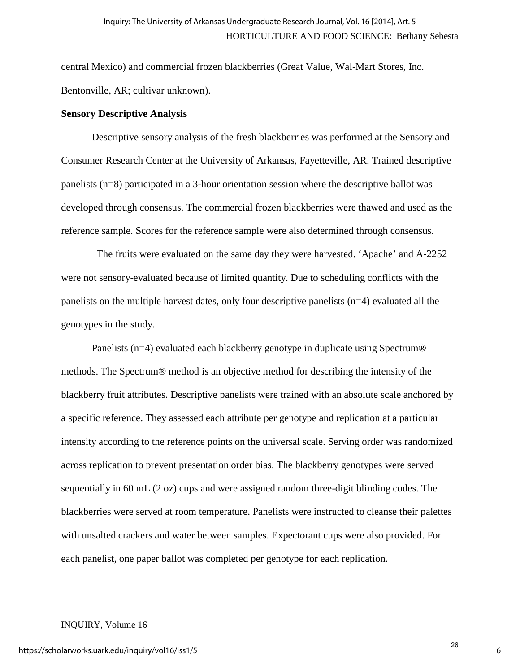central Mexico) and commercial frozen blackberries (Great Value, Wal-Mart Stores, Inc. Bentonville, AR; cultivar unknown).

## **Sensory Descriptive Analysis**

Descriptive sensory analysis of the fresh blackberries was performed at the Sensory and Consumer Research Center at the University of Arkansas, Fayetteville, AR. Trained descriptive panelists (n=8) participated in a 3-hour orientation session where the descriptive ballot was developed through consensus. The commercial frozen blackberries were thawed and used as the reference sample. Scores for the reference sample were also determined through consensus.

 The fruits were evaluated on the same day they were harvested. 'Apache' and A-2252 were not sensory-evaluated because of limited quantity. Due to scheduling conflicts with the panelists on the multiple harvest dates, only four descriptive panelists (n=4) evaluated all the genotypes in the study.

Panelists (n=4) evaluated each blackberry genotype in duplicate using Spectrum<sup>®</sup> methods. The Spectrum® method is an objective method for describing the intensity of the blackberry fruit attributes. Descriptive panelists were trained with an absolute scale anchored by a specific reference. They assessed each attribute per genotype and replication at a particular intensity according to the reference points on the universal scale. Serving order was randomized across replication to prevent presentation order bias. The blackberry genotypes were served sequentially in 60 mL (2 oz) cups and were assigned random three-digit blinding codes. The blackberries were served at room temperature. Panelists were instructed to cleanse their palettes with unsalted crackers and water between samples. Expectorant cups were also provided. For each panelist, one paper ballot was completed per genotype for each replication.

#### INQUIRY, Volume 16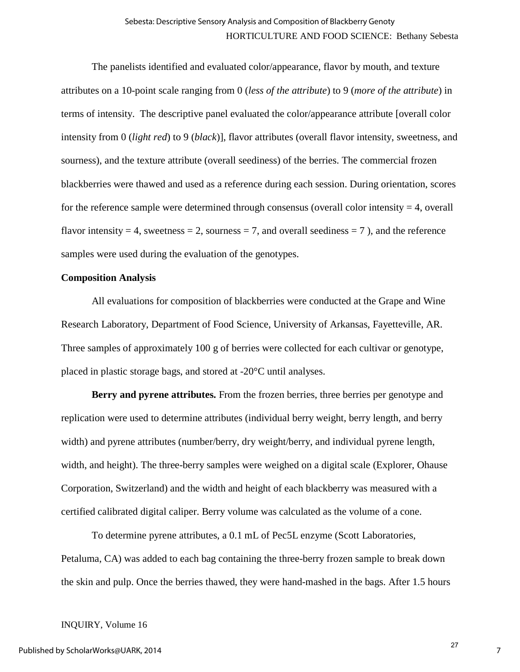The panelists identified and evaluated color/appearance, flavor by mouth, and texture attributes on a 10-point scale ranging from 0 (*less of the attribute*) to 9 (*more of the attribute*) in terms of intensity. The descriptive panel evaluated the color/appearance attribute [overall color intensity from 0 (*light red*) to 9 (*black*)], flavor attributes (overall flavor intensity, sweetness, and sourness), and the texture attribute (overall seediness) of the berries. The commercial frozen blackberries were thawed and used as a reference during each session. During orientation, scores for the reference sample were determined through consensus (overall color intensity  $=$  4, overall flavor intensity  $= 4$ , sweetness  $= 2$ , sourness  $= 7$ , and overall seediness  $= 7$ ), and the reference samples were used during the evaluation of the genotypes.

## **Composition Analysis**

All evaluations for composition of blackberries were conducted at the Grape and Wine Research Laboratory, Department of Food Science, University of Arkansas, Fayetteville, AR. Three samples of approximately 100 g of berries were collected for each cultivar or genotype, placed in plastic storage bags, and stored at -20°C until analyses.

**Berry and pyrene attributes.** From the frozen berries, three berries per genotype and replication were used to determine attributes (individual berry weight, berry length, and berry width) and pyrene attributes (number/berry, dry weight/berry, and individual pyrene length, width, and height). The three-berry samples were weighed on a digital scale (Explorer, Ohause Corporation, Switzerland) and the width and height of each blackberry was measured with a certified calibrated digital caliper. Berry volume was calculated as the volume of a cone.

To determine pyrene attributes, a 0.1 mL of Pec5L enzyme (Scott Laboratories, Petaluma, CA) was added to each bag containing the three-berry frozen sample to break down the skin and pulp. Once the berries thawed, they were hand-mashed in the bags. After 1.5 hours

#### INQUIRY, Volume 16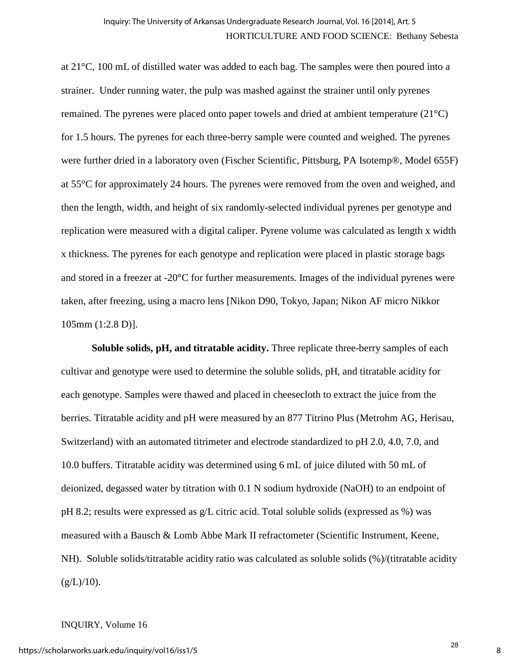at 21°C, 100 mL of distilled water was added to each bag. The samples were then poured into a strainer. Under running water, the pulp was mashed against the strainer until only pyrenes remained. The pyrenes were placed onto paper towels and dried at ambient temperature (21°C) for 1.5 hours. The pyrenes for each three-berry sample were counted and weighed. The pyrenes were further dried in a laboratory oven (Fischer Scientific, Pittsburg, PA Isotemp®, Model 655F) at 55°C for approximately 24 hours. The pyrenes were removed from the oven and weighed, and then the length, width, and height of six randomly-selected individual pyrenes per genotype and replication were measured with a digital caliper. Pyrene volume was calculated as length x width x thickness. The pyrenes for each genotype and replication were placed in plastic storage bags and stored in a freezer at -20°C for further measurements. Images of the individual pyrenes were taken, after freezing, using a macro lens [Nikon D90, Tokyo, Japan; Nikon AF micro Nikkor 105mm (1:2.8 D)].

**Soluble solids, pH, and titratable acidity.** Three replicate three-berry samples of each cultivar and genotype were used to determine the soluble solids, pH, and titratable acidity for each genotype. Samples were thawed and placed in cheesecloth to extract the juice from the berries. Titratable acidity and pH were measured by an 877 Titrino Plus (Metrohm AG, Herisau, Switzerland) with an automated titrimeter and electrode standardized to pH 2.0, 4.0, 7.0, and 10.0 buffers. Titratable acidity was determined using 6 mL of juice diluted with 50 mL of deionized, degassed water by titration with 0.1 N sodium hydroxide (NaOH) to an endpoint of pH 8.2; results were expressed as g/L citric acid. Total soluble solids (expressed as %) was measured with a Bausch & Lomb Abbe Mark II refractometer (Scientific Instrument, Keene, NH). Soluble solids/titratable acidity ratio was calculated as soluble solids (%)/(titratable acidity  $(g/L)/10$ ).

#### INQUIRY, Volume 16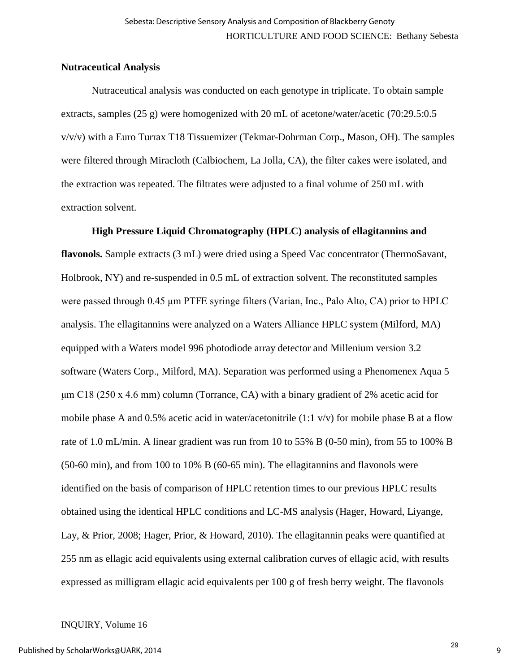# **Nutraceutical Analysis**

Nutraceutical analysis was conducted on each genotype in triplicate. To obtain sample extracts, samples (25 g) were homogenized with 20 mL of acetone/water/acetic (70:29.5:0.5  $v/v/v$  with a Euro Turrax T18 Tissuemizer (Tekmar-Dohrman Corp., Mason, OH). The samples were filtered through Miracloth (Calbiochem, La Jolla, CA), the filter cakes were isolated, and the extraction was repeated. The filtrates were adjusted to a final volume of 250 mL with extraction solvent.

## **High Pressure Liquid Chromatography (HPLC) analysis of ellagitannins and**

**flavonols.** Sample extracts (3 mL) were dried using a Speed Vac concentrator (ThermoSavant, Holbrook, NY) and re-suspended in 0.5 mL of extraction solvent. The reconstituted samples were passed through 0.45 μm PTFE syringe filters (Varian, Inc., Palo Alto, CA) prior to HPLC analysis. The ellagitannins were analyzed on a Waters Alliance HPLC system (Milford, MA) equipped with a Waters model 996 photodiode array detector and Millenium version 3.2 software (Waters Corp., Milford, MA). Separation was performed using a Phenomenex Aqua 5  $\mu$ m C18 (250 x 4.6 mm) column (Torrance, CA) with a binary gradient of 2% acetic acid for mobile phase A and 0.5% acetic acid in water/acetonitrile (1:1 v/v) for mobile phase B at a flow rate of 1.0 mL/min. A linear gradient was run from 10 to 55% B (0-50 min), from 55 to 100% B (50-60 min), and from 100 to 10% B (60-65 min). The ellagitannins and flavonols were identified on the basis of comparison of HPLC retention times to our previous HPLC results obtained using the identical HPLC conditions and LC-MS analysis (Hager, Howard, Liyange, Lay, & Prior, 2008; Hager, Prior, & Howard, 2010). The ellagitannin peaks were quantified at 255 nm as ellagic acid equivalents using external calibration curves of ellagic acid, with results expressed as milligram ellagic acid equivalents per 100 g of fresh berry weight. The flavonols

## INQUIRY, Volume 16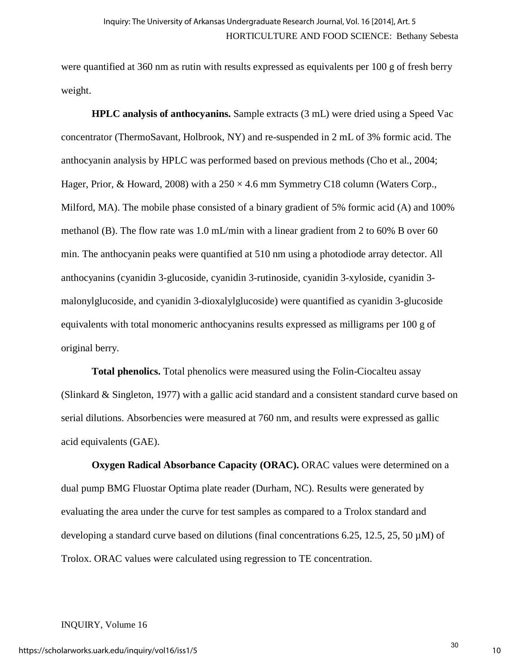were quantified at 360 nm as rutin with results expressed as equivalents per 100 g of fresh berry weight.

**HPLC analysis of anthocyanins.** Sample extracts (3 mL) were dried using a Speed Vac concentrator (ThermoSavant, Holbrook, NY) and re-suspended in 2 mL of 3% formic acid. The anthocyanin analysis by HPLC was performed based on previous methods (Cho et al., 2004; Hager, Prior, & Howard, 2008) with a  $250 \times 4.6$  mm Symmetry C18 column (Waters Corp., Milford, MA). The mobile phase consisted of a binary gradient of 5% formic acid (A) and 100% methanol (B). The flow rate was 1.0 mL/min with a linear gradient from 2 to 60% B over 60 min. The anthocyanin peaks were quantified at 510 nm using a photodiode array detector. All anthocyanins (cyanidin 3-glucoside, cyanidin 3-rutinoside, cyanidin 3-xyloside, cyanidin 3 malonylglucoside, and cyanidin 3-dioxalylglucoside) were quantified as cyanidin 3-glucoside equivalents with total monomeric anthocyanins results expressed as milligrams per 100 g of original berry.

**Total phenolics.** Total phenolics were measured using the Folin-Ciocalteu assay (Slinkard & Singleton, 1977) with a gallic acid standard and a consistent standard curve based on serial dilutions. Absorbencies were measured at 760 nm, and results were expressed as gallic acid equivalents (GAE).

**Oxygen Radical Absorbance Capacity (ORAC).** ORAC values were determined on a dual pump BMG Fluostar Optima plate reader (Durham, NC). Results were generated by evaluating the area under the curve for test samples as compared to a Trolox standard and developing a standard curve based on dilutions (final concentrations 6.25, 12.5, 25, 50  $\mu$ M) of Trolox. ORAC values were calculated using regression to TE concentration.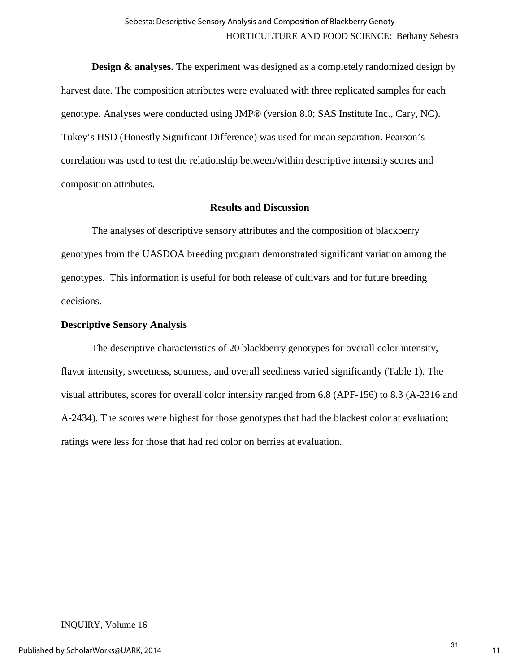**Design & analyses.** The experiment was designed as a completely randomized design by harvest date. The composition attributes were evaluated with three replicated samples for each genotype. Analyses were conducted using JMP® (version 8.0; SAS Institute Inc., Cary, NC). Tukey's HSD (Honestly Significant Difference) was used for mean separation. Pearson's correlation was used to test the relationship between/within descriptive intensity scores and composition attributes.

## **Results and Discussion**

The analyses of descriptive sensory attributes and the composition of blackberry genotypes from the UASDOA breeding program demonstrated significant variation among the genotypes. This information is useful for both release of cultivars and for future breeding decisions.

# **Descriptive Sensory Analysis**

The descriptive characteristics of 20 blackberry genotypes for overall color intensity, flavor intensity, sweetness, sourness, and overall seediness varied significantly (Table 1). The visual attributes, scores for overall color intensity ranged from 6.8 (APF-156) to 8.3 (A-2316 and A-2434). The scores were highest for those genotypes that had the blackest color at evaluation; ratings were less for those that had red color on berries at evaluation.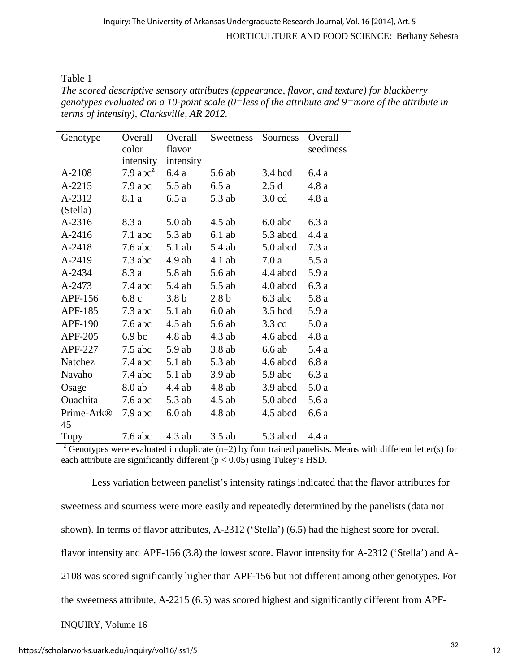Table 1

*The scored descriptive sensory attributes (appearance, flavor, and texture) for blackberry genotypes evaluated on a 10-point scale (0=less of the attribute and 9=more of the attribute in terms of intensity), Clarksville, AR 2012.* 

| Genotype               | Overall<br>color  | Overall<br>flavor | Sweetness        | Sourness         | Overall<br>seediness |
|------------------------|-------------------|-------------------|------------------|------------------|----------------------|
|                        | intensity         | intensity         |                  |                  |                      |
| A-2108                 | 7.9 $abc^z$       | 6.4a              | 5.6 ab           | 3.4 bcd          | 6.4 a                |
| A-2215                 | 7.9 abc           | 5.5 ab            | 6.5a             | 2.5d             | 4.8 a                |
| A-2312                 | 8.1 a             | 6.5a              | 5.3 ab           | $3.0$ cd         | 4.8a                 |
| (Stella)               |                   |                   |                  |                  |                      |
| A-2316                 | 8.3 a             | $5.0$ ab          | $4.5$ ab         | $6.0$ abc        | 6.3 a                |
| A-2416                 | $7.1$ abc         | 5.3 ab            | $6.1$ ab         | 5.3 abcd         | 4.4a                 |
| A-2418                 | $7.6$ abc         | $5.1$ ab          | 5.4 ab           | 5.0 abcd         | 7.3a                 |
| A-2419                 | $7.3$ abc         | $4.9$ ab          | $4.1$ ab         | 7.0a             | 5.5 a                |
| A-2434                 | 8.3 a             | 5.8 ab            | 5.6 ab           | 4.4 abcd         | 5.9 a                |
| A-2473                 | $7.4$ abc         | 5.4 ab            | 5.5 ab           | 4.0 abcd         | 6.3 a                |
| APF-156                | 6.8c              | 3.8 <sub>b</sub>  | 2.8 <sub>b</sub> | $6.3$ abc        | 5.8a                 |
| APF-185                | $7.3$ abc         | $5.1$ ab          | $6.0$ ab         | $3.5$ bcd        | 5.9 a                |
| <b>APF-190</b>         | $7.6$ abc         | $4.5$ ab          | 5.6 ab           | $3.3 \text{ cd}$ | 5.0a                 |
| APF-205                | 6.9 <sub>bc</sub> | $4.8$ ab          | $4.3$ ab         | 4.6 abcd         | 4.8 a                |
| APF-227                | $7.5$ abc         | $5.9$ ab          | $3.8$ ab         | 6.6ab            | 5.4 a                |
| Natchez                | $7.4$ abc         | $5.1$ ab          | 5.3 ab           | 4.6 abcd         | 6.8 a                |
| Navaho                 | $7.4$ abc         | $5.1$ ab          | $3.9$ ab         | $5.9$ abc        | 6.3a                 |
| Osage                  | 8.0 ab            | $4.4$ ab          | $4.8$ ab         | 3.9 abcd         | 5.0a                 |
| Ouachita               | $7.6$ abc         | 5.3 ab            | $4.5$ ab         | 5.0 abcd         | 5.6 a                |
| Prime-Ark <sup>®</sup> | 7.9 abc           | $6.0$ ab          | $4.8$ ab         | 4.5 abcd         | 6.6a                 |
| 45                     |                   |                   |                  |                  |                      |
| Tupy                   | $7.6$ abc         | $4.3$ ab          | $3.5$ ab         | 5.3 abcd         | 4.4 a                |

<sup>z</sup> Genotypes were evaluated in duplicate (n=2) by four trained panelists. Means with different letter(s) for each attribute are significantly different ( $p < 0.05$ ) using Tukey's HSD.

Less variation between panelist's intensity ratings indicated that the flavor attributes for sweetness and sourness were more easily and repeatedly determined by the panelists (data not shown). In terms of flavor attributes, A-2312 ('Stella') (6.5) had the highest score for overall flavor intensity and APF-156 (3.8) the lowest score. Flavor intensity for A-2312 ('Stella') and A-2108 was scored significantly higher than APF-156 but not different among other genotypes. For the sweetness attribute, A-2215 (6.5) was scored highest and significantly different from APF-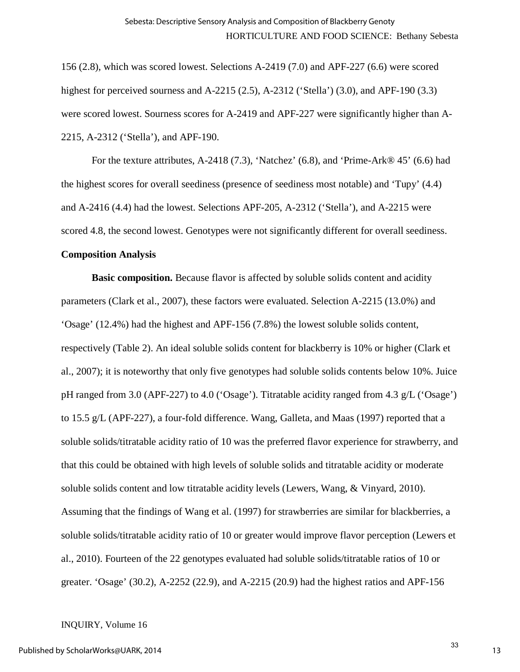156 (2.8), which was scored lowest. Selections A-2419 (7.0) and APF-227 (6.6) were scored highest for perceived sourness and A-2215 (2.5), A-2312 ('Stella') (3.0), and APF-190 (3.3) were scored lowest. Sourness scores for A-2419 and APF-227 were significantly higher than A-2215, A-2312 ('Stella'), and APF-190.

For the texture attributes, A-2418 (7.3), 'Natchez' (6.8), and 'Prime-Ark $\mathcal{O}(6.6)$  had the highest scores for overall seediness (presence of seediness most notable) and 'Tupy' (4.4) and A-2416 (4.4) had the lowest. Selections APF-205, A-2312 ('Stella'), and A-2215 were scored 4.8, the second lowest. Genotypes were not significantly different for overall seediness.

## **Composition Analysis**

**Basic composition.** Because flavor is affected by soluble solids content and acidity parameters (Clark et al., 2007), these factors were evaluated. Selection A-2215 (13.0%) and 'Osage' (12.4%) had the highest and APF-156 (7.8%) the lowest soluble solids content, respectively (Table 2). An ideal soluble solids content for blackberry is 10% or higher (Clark et al., 2007); it is noteworthy that only five genotypes had soluble solids contents below 10%. Juice pH ranged from 3.0 (APF-227) to 4.0 ('Osage'). Titratable acidity ranged from 4.3 g/L ('Osage') to 15.5 g/L (APF-227), a four-fold difference. Wang, Galleta, and Maas (1997) reported that a soluble solids/titratable acidity ratio of 10 was the preferred flavor experience for strawberry, and that this could be obtained with high levels of soluble solids and titratable acidity or moderate soluble solids content and low titratable acidity levels (Lewers, Wang, & Vinyard, 2010). Assuming that the findings of Wang et al. (1997) for strawberries are similar for blackberries, a soluble solids/titratable acidity ratio of 10 or greater would improve flavor perception (Lewers et al., 2010). Fourteen of the 22 genotypes evaluated had soluble solids/titratable ratios of 10 or greater. 'Osage' (30.2), A-2252 (22.9), and A-2215 (20.9) had the highest ratios and APF-156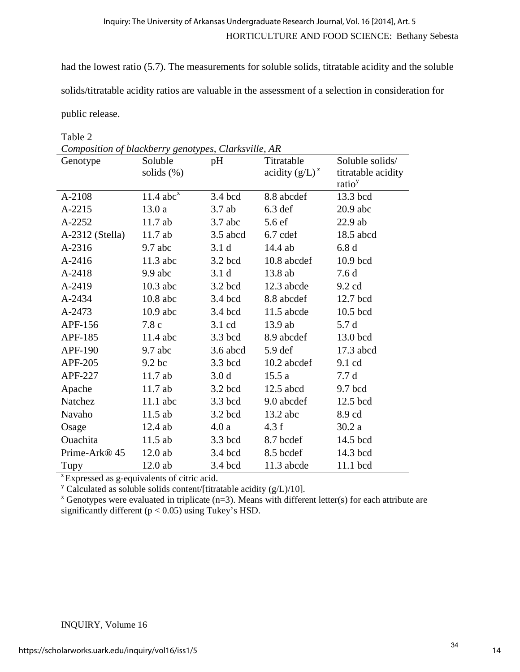had the lowest ratio (5.7). The measurements for soluble solids, titratable acidity and the soluble

solids/titratable acidity ratios are valuable in the assessment of a selection in consideration for

public release.

# Table 2

| Genotype                  | Soluble                 | pH               | Titratable          | Soluble solids/    |
|---------------------------|-------------------------|------------------|---------------------|--------------------|
|                           | solids $(\%)$           |                  | acidity $(g/L)^{z}$ | titratable acidity |
|                           |                         |                  |                     | ratio <sup>y</sup> |
| A-2108                    | $11.4$ abc <sup>x</sup> | 3.4 bcd          | 8.8 abcdef          | 13.3 bcd           |
| A-2215                    | 13.0a                   | $3.7$ ab         | $6.3$ def           | $20.9$ abc         |
| A-2252                    | 11.7ab                  | $3.7$ abc        | 5.6 ef              | $22.9$ ab          |
| A-2312 (Stella)           | 11.7ab                  | $3.5$ abcd       | 6.7 cdef            | 18.5 abcd          |
| A-2316                    | $9.7$ abc               | 3.1 <sub>d</sub> | 14.4 ab             | 6.8d               |
| A-2416                    | $11.3$ abc              | $3.2$ bcd        | 10.8 abcdef         | 10.9 bcd           |
| A-2418                    | $9.9$ abc               | 3.1 <sub>d</sub> | 13.8 ab             | 7.6d               |
| A-2419                    | $10.3$ abc              | $3.2$ bcd        | 12.3 abcde          | $9.2 \text{ cd}$   |
| A-2434                    | $10.8$ abc              | 3.4 bcd          | 8.8 abcdef          | 12.7 bcd           |
| A-2473                    | $10.9$ abc              | 3.4 bcd          | $11.5$ abcde        | 10.5 bcd           |
| APF-156                   | 7.8c                    | $3.1 \text{ cd}$ | $13.9$ ab           | 5.7 d              |
| APF-185                   | $11.4$ abc              | $3.3$ bcd        | 8.9 abcdef          | 13.0 bcd           |
| <b>APF-190</b>            | $9.7$ abc               | $3.6$ abcd       | $5.9$ def           | 17.3 abcd          |
| APF-205                   | 9.2 <sub>bc</sub>       | 3.3 bcd          | 10.2 abcdef         | 9.1 cd             |
| APF-227                   | $11.7$ ab               | 3.0 <sub>d</sub> | 15.5a               | 7.7d               |
| Apache                    | 11.7 ab                 | 3.2 bcd          | $12.5$ abcd         | 9.7 bcd            |
| Natchez                   | $11.1$ abc              | 3.3 bcd          | 9.0 abcdef          | 12.5 bcd           |
| Navaho                    | $11.5$ ab               | $3.2$ bcd        | $13.2$ abc          | 8.9 cd             |
| Osage                     | 12.4 ab                 | 4.0a             | 4.3 f               | 30.2a              |
| Ouachita                  | $11.5$ ab               | 3.3 bcd          | 8.7 bcdef           | 14.5 bcd           |
| Prime-Ark <sup>®</sup> 45 | $12.0$ ab               | 3.4 bcd          | 8.5 bcdef           | 14.3 bcd           |
| Tupy                      | $12.0$ ab               | 3.4 bcd          | 11.3 abcde          | 11.1 bcd           |

<sup>2</sup> Expressed as g-equivalents of citric acid.

<sup>y</sup> Calculated as soluble solids content/[titratable acidity (g/L)/10].

 $x$  Genotypes were evaluated in triplicate (n=3). Means with different letter(s) for each attribute are significantly different ( $p < 0.05$ ) using Tukey's HSD.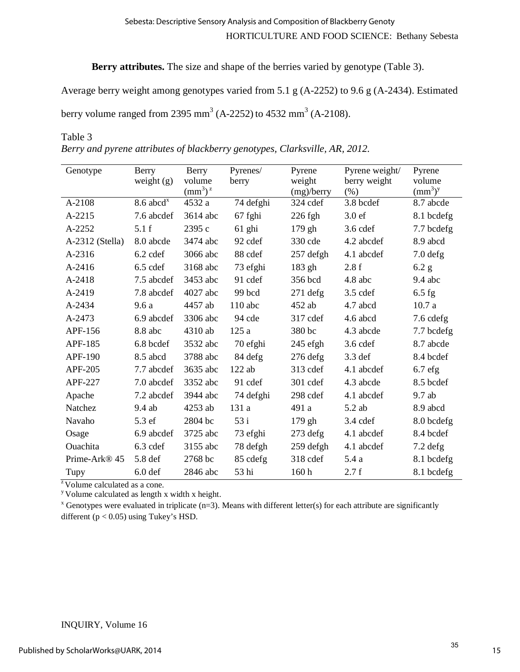**Berry attributes.** The size and shape of the berries varied by genotype (Table 3).

Average berry weight among genotypes varied from 5.1 g (A-2252) to 9.6 g (A-2434). Estimated berry volume ranged from 2395 mm<sup>3</sup> (A-2252) to 4532 mm<sup>3</sup> (A-2108).

# Table 3

*Berry and pyrene attributes of blackberry genotypes, Clarksville, AR, 2012.*

| Genotype                  | Berry<br>weight $(g)$   | Berry<br>volume<br>$\text{(mm}^3)^{\text{z}}$ | Pyrenes/<br>berry | Pyrene<br>weight<br>(mg)/berry | Pyrene weight/<br>berry weight<br>(% ) | Pyrene<br>volume<br>$\text{(mm}^3)^y$ |
|---------------------------|-------------------------|-----------------------------------------------|-------------------|--------------------------------|----------------------------------------|---------------------------------------|
| A-2108                    | $8.6$ abcd <sup>x</sup> | 4532 a                                        | 74 defghi         | 324 cdef                       | 3.8 bcdef                              | 8.7 abcde                             |
| A-2215                    | 7.6 abcdef              | 3614 abc                                      | 67 fghi           | $226$ fgh                      | 3.0 <sub>ef</sub>                      | 8.1 bcdefg                            |
| A-2252                    | 5.1f                    | 2395 с                                        | 61 ghi            | 179 gh                         | $3.6$ cdef                             | 7.7 bcdefg                            |
| A-2312 (Stella)           | 8.0 abcde               | 3474 abc                                      | 92 cdef           | 330 cde                        | 4.2 abcdef                             | 8.9 abcd                              |
| A-2316                    | 6.2 cdef                | 3066 abc                                      | 88 cdef           | 257 defgh                      | 4.1 abcdef                             | $7.0$ defg                            |
| A-2416                    | 6.5 cdef                | 3168 abc                                      | 73 efghi          | 183 gh                         | 2.8f                                   | 6.2 g                                 |
| A-2418                    | 7.5 abcdef              | 3453 abc                                      | 91 cdef           | 356 bcd                        | 4.8 abc                                | $9.4$ abc                             |
| A-2419                    | 7.8 abcdef              | 4027 abc                                      | 99 bcd            | $271$ defg                     | $3.5$ cdef                             | $6.5$ fg                              |
| A-2434                    | 9.6a                    | 4457 ab                                       | $110$ abc         | 452 ab                         | 4.7 abcd                               | 10.7a                                 |
| A-2473                    | 6.9 abcdef              | 3306 abc                                      | 94 cde            | 317 cdef                       | 4.6 abcd                               | 7.6 cdefg                             |
| APF-156                   | 8.8 abc                 | 4310 ab                                       | 125 a             | 380 bc                         | 4.3 abcde                              | 7.7 bcdefg                            |
| APF-185                   | 6.8 bcdef               | 3532 abc                                      | 70 efghi          | $245$ efgh                     | $3.6$ cdef                             | 8.7 abcde                             |
| APF-190                   | 8.5 abcd                | 3788 abc                                      | 84 defg           | $276$ defg                     | 3.3 def                                | 8.4 bcdef                             |
| APF-205                   | 7.7 abcdef              | 3635 abc                                      | $122$ ab          | 313 cdef                       | 4.1 abcdef                             | $6.7$ efg                             |
| APF-227                   | 7.0 abcdef              | 3352 abc                                      | 91 cdef           | 301 cdef                       | 4.3 abcde                              | 8.5 bcdef                             |
| Apache                    | 7.2 abcdef              | 3944 abc                                      | 74 defghi         | 298 cdef                       | 4.1 abcdef                             | 9.7 ab                                |
| Natchez                   | 9.4 ab                  | 4253 ab                                       | 131 a             | 491 a                          | 5.2 ab                                 | 8.9 abcd                              |
| Navaho                    | 5.3 ef                  | 2804 bc                                       | 53 i              | 179 gh                         | $3.4$ cdef                             | 8.0 bcdefg                            |
| Osage                     | 6.9 abcdef              | 3725 abc                                      | 73 efghi          | $273$ defg                     | 4.1 abcdef                             | 8.4 bcdef                             |
| Ouachita                  | 6.3 cdef                | 3155 abc                                      | 78 defgh          | 259 defgh                      | 4.1 abcdef                             | $7.2$ defg                            |
| Prime-Ark <sup>®</sup> 45 | 5.8 def                 | 2768 bc                                       | 85 cdefg          | 318 cdef                       | 5.4a                                   | 8.1 bcdefg                            |
| Tupy                      | 6.0 <sub>def</sub>      | 2846 abc                                      | 53 hi             | 160h                           | 2.7 f                                  | 8.1 bcdefg                            |

 $\overline{z}$  Volume calculated as a cone.<br>y Volume calculated as length x width x height.

 $x$  Genotypes were evaluated in triplicate (n=3). Means with different letter(s) for each attribute are significantly different ( $p < 0.05$ ) using Tukey's HSD.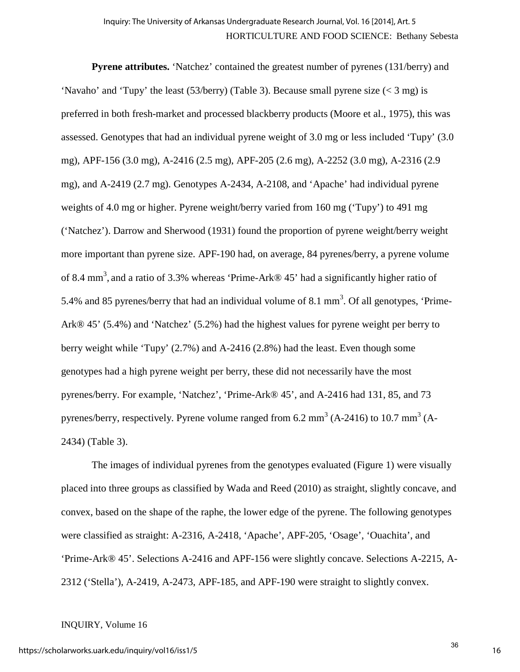**Pyrene attributes.** 'Natchez' contained the greatest number of pyrenes (131/berry) and 'Navaho' and 'Tupy' the least (53/berry) (Table 3). Because small pyrene size (< 3 mg) is preferred in both fresh-market and processed blackberry products (Moore et al., 1975), this was assessed. Genotypes that had an individual pyrene weight of 3.0 mg or less included 'Tupy' (3.0 mg), APF-156 (3.0 mg), A-2416 (2.5 mg), APF-205 (2.6 mg), A-2252 (3.0 mg), A-2316 (2.9 mg), and A-2419 (2.7 mg). Genotypes A-2434, A-2108, and 'Apache' had individual pyrene weights of 4.0 mg or higher. Pyrene weight/berry varied from 160 mg ('Tupy') to 491 mg ('Natchez'). Darrow and Sherwood (1931) found the proportion of pyrene weight/berry weight more important than pyrene size. APF-190 had, on average, 84 pyrenes/berry, a pyrene volume of 8.4 mm<sup>3</sup>, and a ratio of 3.3% whereas 'Prime-Ark® 45' had a significantly higher ratio of 5.4% and 85 pyrenes/berry that had an individual volume of 8.1 mm<sup>3</sup>. Of all genotypes, 'Prime-Ark® 45' (5.4%) and 'Natchez' (5.2%) had the highest values for pyrene weight per berry to berry weight while 'Tupy' (2.7%) and A-2416 (2.8%) had the least. Even though some genotypes had a high pyrene weight per berry, these did not necessarily have the most pyrenes/berry. For example, 'Natchez', 'Prime-Ark® 45', and A-2416 had 131, 85, and 73 pyrenes/berry, respectively. Pyrene volume ranged from 6.2 mm<sup>3</sup> (A-2416) to 10.7 mm<sup>3</sup> (A-2434) (Table 3).

The images of individual pyrenes from the genotypes evaluated (Figure 1) were visually placed into three groups as classified by Wada and Reed (2010) as straight, slightly concave, and convex, based on the shape of the raphe, the lower edge of the pyrene. The following genotypes were classified as straight: A-2316, A-2418, 'Apache', APF-205, 'Osage', 'Ouachita', and 'Prime-Ark® 45'. Selections A-2416 and APF-156 were slightly concave. Selections A-2215, A-2312 ('Stella'), A-2419, A-2473, APF-185, and APF-190 were straight to slightly convex.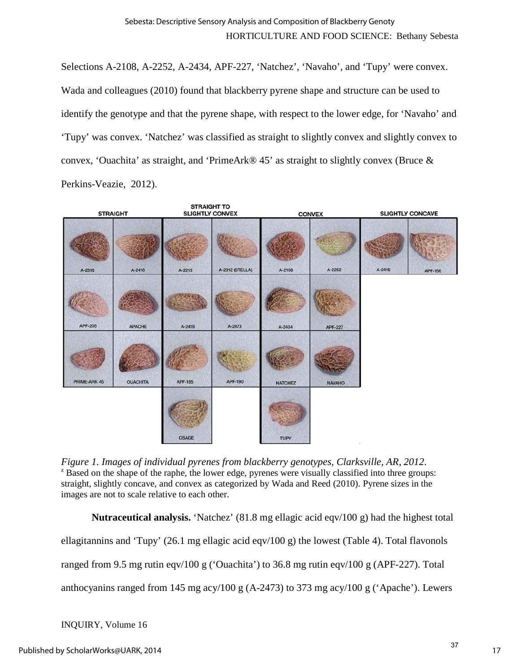Selections A-2108, A-2252, A-2434, APF-227, 'Natchez', 'Navaho', and 'Tupy' were convex. Wada and colleagues (2010) found that blackberry pyrene shape and structure can be used to identify the genotype and that the pyrene shape, with respect to the lower edge, for 'Navaho' and 'Tupy' was convex. 'Natchez' was classified as straight to slightly convex and slightly convex to convex, 'Ouachita' as straight, and 'PrimeArk® 45' as straight to slightly convex (Bruce & Perkins-Veazie, 2012).

| <b>STRAIGHT</b> |                 | <b>STRAIGHT TO</b><br><b>SLIGHTLY CONVEX</b> |                 | <b>CONVEX</b>  |                | <b>SLIGHTLY CONCAVE</b> |         |
|-----------------|-----------------|----------------------------------------------|-----------------|----------------|----------------|-------------------------|---------|
| A-2316          | A-2418          | A-2215                                       | A-2312 (STELLA) | A-2108         | A-2252         | A-2416                  | APF-156 |
| APF-205         | <b>APACHE</b>   | A-2419                                       | A-2473          | A-2434         | <b>APF-227</b> |                         |         |
| PRIME-ARK 45    | <b>OUACHITA</b> | <b>APF-185</b>                               | APF-190         | <b>NATCHEZ</b> | <b>NAVAHO</b>  |                         |         |
|                 |                 | <b>OSAGE</b>                                 |                 | TUPY           |                |                         |         |

*Figure 1. Images of individual pyrenes from blackberry genotypes, Clarksville, AR, 2012.*<br><sup>z</sup> Based on the shape of the raphe, the lower edge, pyrenes were visually classified into three groups: straight, slightly concave, and convex as categorized by Wada and Reed (2010). Pyrene sizes in the images are not to scale relative to each other.

**Nutraceutical analysis.** 'Natchez' (81.8 mg ellagic acid eqv/100 g) had the highest total ellagitannins and 'Tupy' (26.1 mg ellagic acid eqv/100 g) the lowest (Table 4). Total flavonols ranged from 9.5 mg rutin eqv/100 g ('Ouachita') to 36.8 mg rutin eqv/100 g (APF-227). Total anthocyanins ranged from 145 mg acy/100 g (A-2473) to 373 mg acy/100 g ('Apache'). Lewers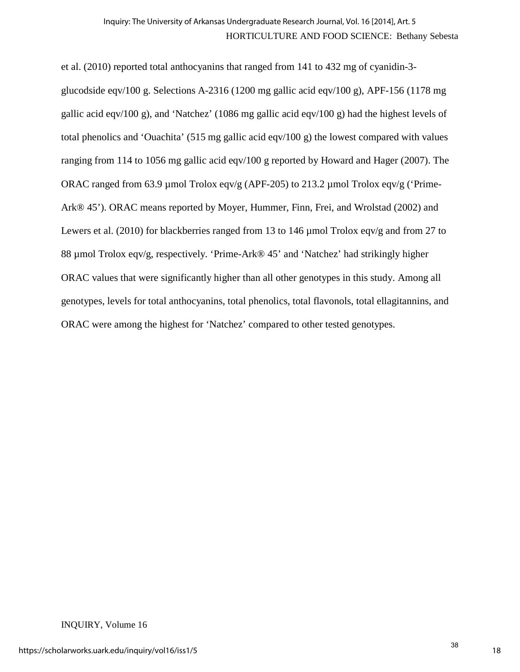et al. (2010) reported total anthocyanins that ranged from 141 to 432 mg of cyanidin-3 glucodside eqv/100 g. Selections A-2316 (1200 mg gallic acid eqv/100 g), APF-156 (1178 mg gallic acid eqv/100 g), and 'Natchez' (1086 mg gallic acid eqv/100 g) had the highest levels of total phenolics and 'Ouachita' (515 mg gallic acid eqv/100 g) the lowest compared with values ranging from 114 to 1056 mg gallic acid eqv/100 g reported by Howard and Hager (2007). The ORAC ranged from 63.9 µmol Trolox eqv/g (APF-205) to 213.2 µmol Trolox eqv/g ('Prime-Ark® 45'). ORAC means reported by Moyer, Hummer, Finn, Frei, and Wrolstad (2002) and Lewers et al. (2010) for blackberries ranged from 13 to 146 µmol Trolox eqv/g and from 27 to 88 µmol Trolox eqv/g, respectively. 'Prime-Ark® 45' and 'Natchez' had strikingly higher ORAC values that were significantly higher than all other genotypes in this study. Among all genotypes, levels for total anthocyanins, total phenolics, total flavonols, total ellagitannins, and ORAC were among the highest for 'Natchez' compared to other tested genotypes.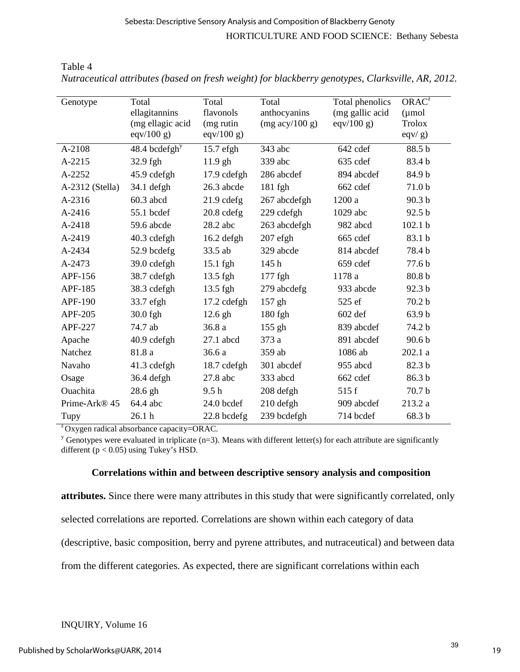| Genotype                  | Total                     | Total            | Total                            | Total phenolics | $ORAC^{\overline{z}}$ |
|---------------------------|---------------------------|------------------|----------------------------------|-----------------|-----------------------|
|                           | ellagitannins             | flavonols        | anthocyanins                     | (mg gallic acid | $(\mu$ mol            |
|                           | (mg ellagic acid          | (mg rutin        | $(mg \text{ acy}/100 \text{ g})$ | eqv/100 g)      | <b>Trolox</b>         |
|                           | eqv/100 g                 | eqv/ $100 g$ )   |                                  |                 | $eqv/g$ )             |
| A-2108                    | 48.4 bcdefgh <sup>y</sup> | $15.7$ efgh      | 343 abc                          | 642 cdef        | 88.5 b                |
| A-2215                    | 32.9 fgh                  | $11.9$ gh        | 339 abc                          | 635 cdef        | 83.4 b                |
| A-2252                    | 45.9 cdefgh               | 17.9 cdefgh      | 286 abcdef                       | 894 abcdef      | 84.9 b                |
| A-2312 (Stella)           | $34.1$ defgh              | 26.3 abcde       | 181 fgh                          | 662 cdef        | 71.0b                 |
| A-2316                    | $60.3$ abcd               | $21.9$ cdefg     | 267 abcdefgh                     | 1200 a          | 90.3 b                |
| $A - 2416$                | 55.1 bcdef                | $20.8$ cdefg     | 229 cdefgh                       | $1029$ abc      | 92.5 b                |
| A-2418                    | 59.6 abcde                | 28.2 abc         | 263 abcdefgh                     | 982 abcd        | 102.1 <sub>b</sub>    |
| A-2419                    | 40.3 cdefgh               | $16.2$ defgh     | $207$ efgh                       | 665 cdef        | 83.1 b                |
| A-2434                    | 52.9 bcdefg               | 33.5 ab          | 329 abcde                        | 814 abcdef      | 78.4 b                |
| A-2473                    | 39.0 cdefgh               | $15.1$ fgh       | 145h                             | 659 cdef        | 77.6 b                |
| APF-156                   | 38.7 cdefgh               | 13.5 fgh         | 177 fgh                          | 1178 a          | 80.8 b                |
| APF-185                   | 38.3 cdefgh               | 13.5 fgh         | 279 abcdefg                      | 933 abcde       | 92.3 b                |
| APF-190                   | 33.7 efgh                 | 17.2 cdefgh      | 157 gh                           | 525 ef          | 70.2 b                |
| <b>APF-205</b>            | 30.0 fgh                  | $12.6$ gh        | 180 fgh                          | 602 def         | 63.9 b                |
| APF-227                   | 74.7 ab                   | 36.8 a           | 155 gh                           | 839 abcdef      | 74.2 b                |
| Apache                    | 40.9 cdefgh               | 27.1 abcd        | 373 a                            | 891 abcdef      | 90.6 <sub>b</sub>     |
| Natchez                   | 81.8 a                    | 36.6 a           | 359 ab                           | 1086 ab         | 202.1 a               |
| Navaho                    | 41.3 cdefgh               | 18.7 cdefgh      | 301 abcdef                       | 955 abcd        | 82.3 b                |
| Osage                     | 36.4 defgh                | 27.8 abc         | 333 abcd                         | 662 cdef        | 86.3 b                |
| Ouachita                  | 28.6 gh                   | 9.5 <sub>h</sub> | 208 defgh                        | 515 f           | 70.7 b                |
| Prime-Ark <sup>®</sup> 45 | 64.4 abc                  | 24.0 bcdef       | 210 defgh                        | 909 abcdef      | 213.2 a               |
| Tupy                      | 26.1 <sub>h</sub>         | 22.8 bcdefg      | 239 bcdefgh                      | 714 bcdef       | 68.3 b                |

*Nutraceutical attributes (based on fresh weight) for blackberry genotypes, Clarksville, AR, 2012.* 

 $\alpha$ <sup>z</sup> Oxygen radical absorbance capacity=ORAC.

<sup>y</sup> Genotypes were evaluated in triplicate (n=3). Means with different letter(s) for each attribute are significantly different ( $p < 0.05$ ) using Tukey's HSD.

# **Correlations within and between descriptive sensory analysis and composition**

**attributes.** Since there were many attributes in this study that were significantly correlated, only selected correlations are reported. Correlations are shown within each category of data (descriptive, basic composition, berry and pyrene attributes, and nutraceutical) and between data from the different categories. As expected, there are significant correlations within each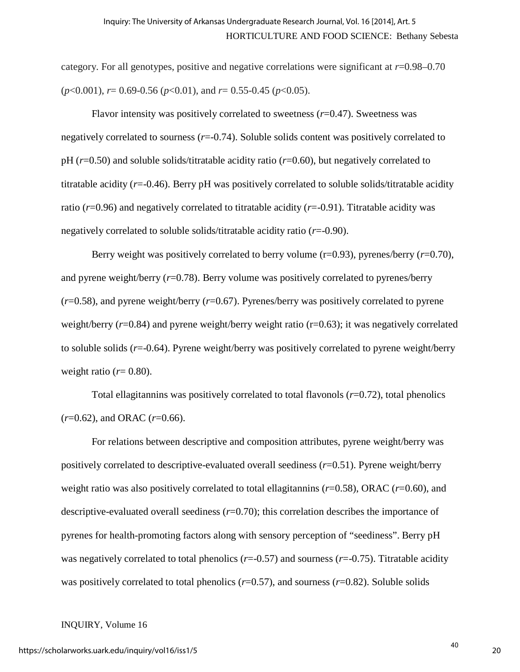category. For all genotypes, positive and negative correlations were significant at *r*=0.98–0.70 (*p*<0.001), *r*= 0.69-0.56 (*p*<0.01), and *r*= 0.55-0.45 (*p*<0.05).

Flavor intensity was positively correlated to sweetness (*r*=0.47). Sweetness was negatively correlated to sourness (*r*=-0.74). Soluble solids content was positively correlated to pH (*r*=0.50) and soluble solids/titratable acidity ratio (*r*=0.60), but negatively correlated to titratable acidity (*r*=-0.46). Berry pH was positively correlated to soluble solids/titratable acidity ratio (*r*=0.96) and negatively correlated to titratable acidity (*r*=-0.91). Titratable acidity was negatively correlated to soluble solids/titratable acidity ratio (*r*=-0.90).

Berry weight was positively correlated to berry volume  $(r=0.93)$ , pyrenes/berry  $(r=0.70)$ , and pyrene weight/berry (*r*=0.78). Berry volume was positively correlated to pyrenes/berry (*r*=0.58), and pyrene weight/berry (*r*=0.67). Pyrenes/berry was positively correlated to pyrene weight/berry  $(r=0.84)$  and pyrene weight/berry weight ratio  $(r=0.63)$ ; it was negatively correlated to soluble solids (*r*=-0.64). Pyrene weight/berry was positively correlated to pyrene weight/berry weight ratio  $(r=0.80)$ .

Total ellagitannins was positively correlated to total flavonols (*r*=0.72), total phenolics (*r*=0.62), and ORAC (*r*=0.66).

For relations between descriptive and composition attributes, pyrene weight/berry was positively correlated to descriptive-evaluated overall seediness (*r*=0.51). Pyrene weight/berry weight ratio was also positively correlated to total ellagitannins (*r*=0.58), ORAC (*r*=0.60), and descriptive-evaluated overall seediness (*r*=0.70); this correlation describes the importance of pyrenes for health-promoting factors along with sensory perception of "seediness". Berry pH was negatively correlated to total phenolics ( $r=-0.57$ ) and sourness ( $r=-0.75$ ). Titratable acidity was positively correlated to total phenolics (*r*=0.57), and sourness (*r*=0.82). Soluble solids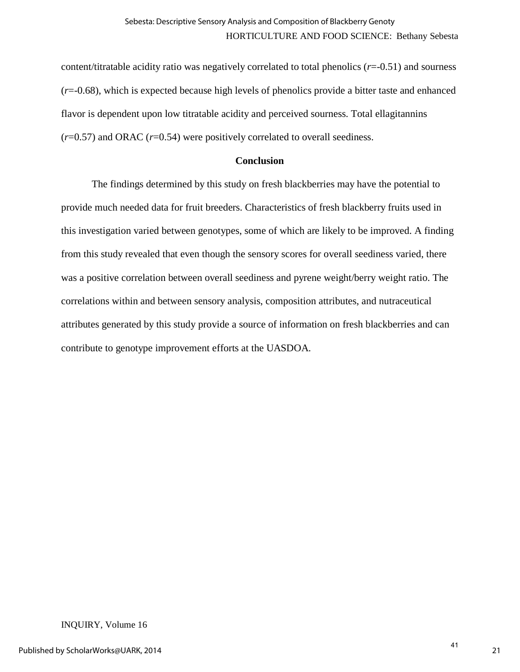content/titratable acidity ratio was negatively correlated to total phenolics (*r*=-0.51) and sourness (*r*=-0.68), which is expected because high levels of phenolics provide a bitter taste and enhanced flavor is dependent upon low titratable acidity and perceived sourness. Total ellagitannins (*r*=0.57) and ORAC (*r*=0.54) were positively correlated to overall seediness.

# **Conclusion**

The findings determined by this study on fresh blackberries may have the potential to provide much needed data for fruit breeders. Characteristics of fresh blackberry fruits used in this investigation varied between genotypes, some of which are likely to be improved. A finding from this study revealed that even though the sensory scores for overall seediness varied, there was a positive correlation between overall seediness and pyrene weight/berry weight ratio. The correlations within and between sensory analysis, composition attributes, and nutraceutical attributes generated by this study provide a source of information on fresh blackberries and can contribute to genotype improvement efforts at the UASDOA.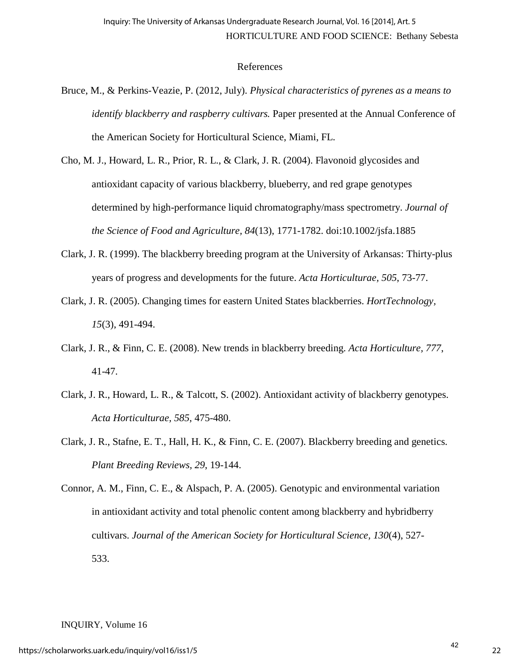# References

- Bruce, M., & Perkins-Veazie, P. (2012, July). *Physical characteristics of pyrenes as a means to identify blackberry and raspberry cultivars.* Paper presented at the Annual Conference of the American Society for Horticultural Science, Miami, FL.
- Cho, M. J., Howard, L. R., Prior, R. L., & Clark, J. R. (2004). Flavonoid glycosides and antioxidant capacity of various blackberry, blueberry, and red grape genotypes determined by high-performance liquid chromatography/mass spectrometry. *Journal of the Science of Food and Agriculture, 84*(13), 1771-1782. doi:10.1002/jsfa.1885
- Clark, J. R. (1999). The blackberry breeding program at the University of Arkansas: Thirty-plus years of progress and developments for the future. *Acta Horticulturae, 505*, 73-77.
- Clark, J. R. (2005). Changing times for eastern United States blackberries. *HortTechnology, 15*(3), 491-494.
- Clark, J. R., & Finn, C. E. (2008). New trends in blackberry breeding. *Acta Horticulture, 777*, 41-47.
- Clark, J. R., Howard, L. R., & Talcott, S. (2002). Antioxidant activity of blackberry genotypes. *Acta Horticulturae, 585*, 475-480.
- Clark, J. R., Stafne, E. T., Hall, H. K., & Finn, C. E. (2007). Blackberry breeding and genetics. *Plant Breeding Reviews, 29*, 19-144.

Connor, A. M., Finn, C. E., & Alspach, P. A. (2005). Genotypic and environmental variation in antioxidant activity and total phenolic content among blackberry and hybridberry cultivars. *Journal of the American Society for Horticultural Science, 130*(4), 527- 533.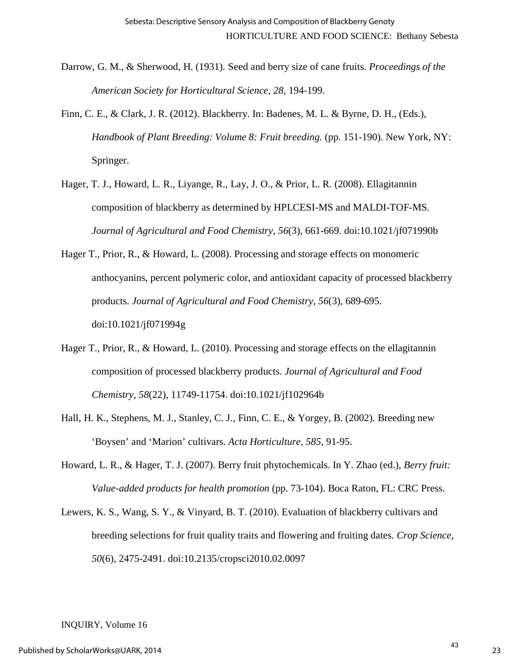- Darrow, G. M., & Sherwood, H. (1931). Seed and berry size of cane fruits. *Proceedings of the American Society for Horticultural Science, 28*, 194-199.
- Finn, C. E., & Clark, J. R. (2012). Blackberry. In: Badenes, M. L. & Byrne, D. H., (Eds.), *Handbook of Plant Breeding: Volume 8: Fruit breeding.* (pp. 151-190). New York, NY: Springer.
- Hager, T. J., Howard, L. R., Liyange, R., Lay, J. O., & Prior, L. R. (2008). Ellagitannin composition of blackberry as determined by HPLCESI-MS and MALDI-TOF-MS. *Journal of Agricultural and Food Chemistry, 56*(3), 661-669. doi:10.1021/jf071990b
- Hager T., Prior, R., & Howard, L. (2008). Processing and storage effects on monomeric anthocyanins, percent polymeric color, and antioxidant capacity of processed blackberry products. *Journal of Agricultural and Food Chemistry, 56*(3), 689-695. doi:10.1021/jf071994g
- Hager T., Prior, R., & Howard, L. (2010). Processing and storage effects on the ellagitannin composition of processed blackberry products. *Journal of Agricultural and Food Chemistry, 58*(22), 11749-11754. doi:10.1021/jf102964b
- Hall, H. K., Stephens, M. J., Stanley, C. J., Finn, C. E., & Yorgey, B. (2002). Breeding new 'Boysen' and 'Marion' cultivars. *Acta Horticulture, 585*, 91-95.
- Howard, L. R., & Hager, T. J. (2007). Berry fruit phytochemicals. In Y. Zhao (ed.), *Berry fruit: Value-added products for health promotion* (pp. 73-104). Boca Raton, FL: CRC Press.
- Lewers, K. S., Wang, S. Y., & Vinyard, B. T. (2010). Evaluation of blackberry cultivars and breeding selections for fruit quality traits and flowering and fruiting dates. *Crop Science, 50*(6), 2475-2491. doi:10.2135/cropsci2010.02.0097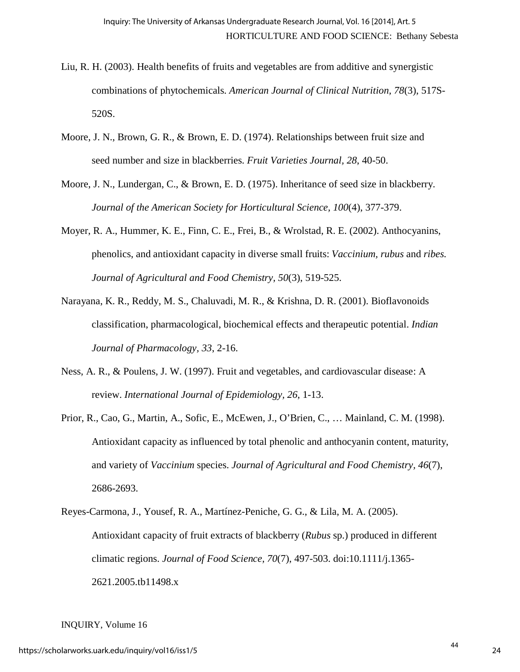- Liu, R. H. (2003). Health benefits of fruits and vegetables are from additive and synergistic combinations of phytochemicals. *American Journal of Clinical Nutrition, 78*(3), 517S-520S.
- Moore, J. N., Brown, G. R., & Brown, E. D. (1974). Relationships between fruit size and seed number and size in blackberries. *Fruit Varieties Journal, 28*, 40-50.
- Moore, J. N., Lundergan, C., & Brown, E. D. (1975). Inheritance of seed size in blackberry. *Journal of the American Society for Horticultural Science, 100*(4), 377-379.
- Moyer, R. A., Hummer, K. E., Finn, C. E., Frei, B., & Wrolstad, R. E. (2002). Anthocyanins, phenolics, and antioxidant capacity in diverse small fruits: *Vaccinium, rubus* and *ribes. Journal of Agricultural and Food Chemistry, 50*(3), 519-525.
- Narayana, K. R., Reddy, M. S., Chaluvadi, M. R., & Krishna, D. R. (2001). Bioflavonoids classification, pharmacological, biochemical effects and therapeutic potential. *Indian Journal of Pharmacology, 33*, 2-16.
- Ness, A. R., & Poulens, J. W. (1997). Fruit and vegetables, and cardiovascular disease: A review. *International Journal of Epidemiology, 26*, 1-13.
- Prior, R., Cao, G., Martin, A., Sofic, E., McEwen, J., O'Brien, C., … Mainland, C. M. (1998). Antioxidant capacity as influenced by total phenolic and anthocyanin content, maturity, and variety of *Vaccinium* species. *Journal of Agricultural and Food Chemistry, 46*(7), 2686-2693.
- Reyes-Carmona, J., Yousef, R. A., Martínez-Peniche, G. G., & Lila, M. A. (2005). Antioxidant capacity of fruit extracts of blackberry (*Rubus* sp.) produced in different climatic regions. *Journal of Food Science, 70*(7), 497-503. doi:10.1111/j.1365- 2621.2005.tb11498.x

INQUIRY, Volume 16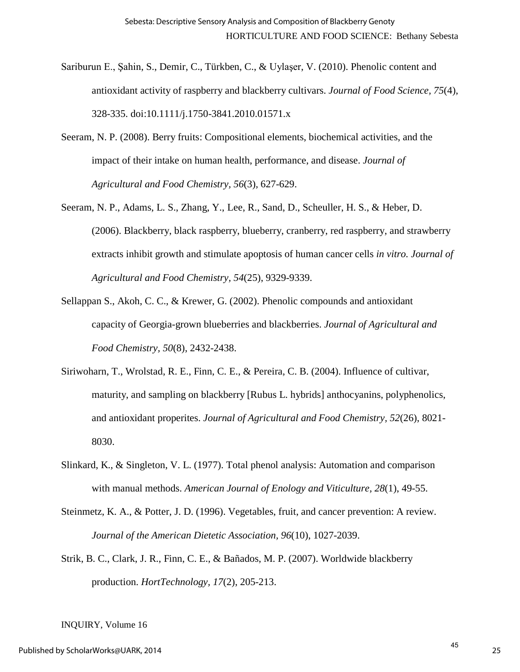- Sariburun E., Şahin, S., Demir, C., Türkben, C., & Uylaşer, V. (2010). Phenolic content and antioxidant activity of raspberry and blackberry cultivars. *Journal of Food Science, 75*(4), 328-335. doi:10.1111/j.1750-3841.2010.01571.x
- Seeram, N. P. (2008). Berry fruits: Compositional elements, biochemical activities, and the impact of their intake on human health, performance, and disease. *Journal of Agricultural and Food Chemistry, 56*(3)*,* 627-629.
- Seeram, N. P., Adams, L. S., Zhang, Y., Lee, R., Sand, D., Scheuller, H. S., & Heber, D. (2006). Blackberry, black raspberry, blueberry, cranberry, red raspberry, and strawberry extracts inhibit growth and stimulate apoptosis of human cancer cells *in vitro. Journal of Agricultural and Food Chemistry, 54*(25), 9329-9339.
- Sellappan S., Akoh, C. C., & Krewer, G. (2002). Phenolic compounds and antioxidant capacity of Georgia-grown blueberries and blackberries. *Journal of Agricultural and Food Chemistry, 50*(8), 2432-2438.
- Siriwoharn, T., Wrolstad, R. E., Finn, C. E., & Pereira, C. B. (2004). Influence of cultivar, maturity, and sampling on blackberry [Rubus L. hybrids] anthocyanins, polyphenolics, and antioxidant properites. *Journal of Agricultural and Food Chemistry, 52*(26), 8021- 8030.
- Slinkard, K., & Singleton, V. L. (1977). Total phenol analysis: Automation and comparison with manual methods. *American Journal of Enology and Viticulture, 28*(1), 49-55.
- Steinmetz, K. A., & Potter, J. D. (1996). Vegetables, fruit, and cancer prevention: A review. *Journal of the American Dietetic Association, 96*(10), 1027-2039.
- Strik, B. C., Clark, J. R., Finn, C. E., & Bañados, M. P. (2007). Worldwide blackberry production. *HortTechnology, 17*(2), 205-213.

INQUIRY, Volume 16